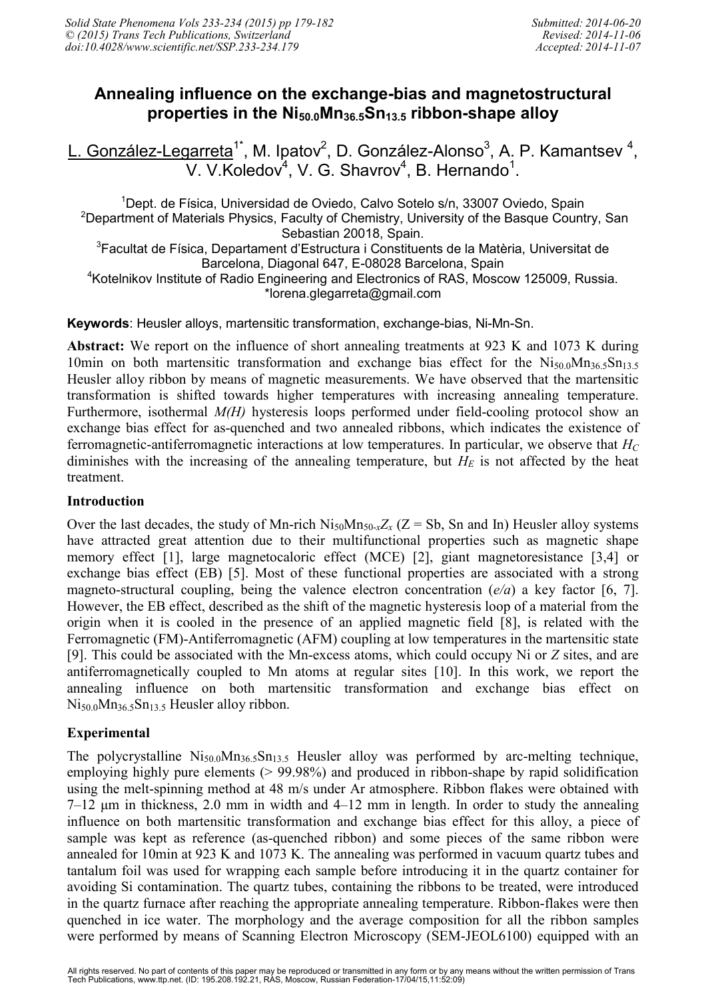# **Annealing influence on the exchange-bias and magnetostructural properties in the Ni50.0Mn36.5Sn13.5 ribbon-shape alloy**

L. González-Legarreta<sup>1\*</sup>, M. Ipatov<sup>2</sup>, D. González-Alonso<sup>3</sup>, A. P. Kamantsev <sup>4</sup>, V. V. Koledov<sup>4</sup>, V. G. Shavrov<sup>4</sup>, B. Hernando<sup>1</sup>.

<sup>1</sup>Dept. de Física, Universidad de Oviedo, Calvo Sotelo s/n, 33007 Oviedo, Spain <sup>2</sup> Department of Materials Physics, Faculty of Chemistry, University of the Basque Country, San Sebastian 20018, Spain. <sup>3</sup>Facultat de Física, Departament d'Estructura i Constituents de la Matèria, Universitat de Barcelona, Diagonal 647, E-08028 Barcelona, Spain <sup>4</sup>Kotelnikov Institute of Radio Engineering and Electronics of RAS, Moscow 125009, Russia. \*lorena.glegarreta@gmail.com

**Keywords**: Heusler alloys, martensitic transformation, exchange-bias, Ni-Mn-Sn.

**Abstract:** We report on the influence of short annealing treatments at 923 K and 1073 K during 10min on both martensitic transformation and exchange bias effect for the Ni<sub>50.0</sub>Mn<sub>36.5</sub>Sn<sub>13.5</sub> Heusler alloy ribbon by means of magnetic measurements. We have observed that the martensitic transformation is shifted towards higher temperatures with increasing annealing temperature. Furthermore, isothermal *M(H)* hysteresis loops performed under field-cooling protocol show an exchange bias effect for as-quenched and two annealed ribbons, which indicates the existence of ferromagnetic-antiferromagnetic interactions at low temperatures. In particular, we observe that *H<sup>C</sup>* diminishes with the increasing of the annealing temperature, but  $H<sub>E</sub>$  is not affected by the heat treatment.

#### **Introduction**

Over the last decades, the study of Mn-rich  $Ni_{50}Mn_{50-x}Z_x$  ( $Z = Sb$ , Sn and In) Heusler alloy systems have attracted great attention due to their multifunctional properties such as magnetic shape memory effect [1], large magnetocaloric effect (MCE) [2], giant magnetoresistance [3,4] or exchange bias effect (EB) [5]. Most of these functional properties are associated with a strong magneto-structural coupling, being the valence electron concentration (*e/a*) a key factor [6, 7]. However, the EB effect, described as the shift of the magnetic hysteresis loop of a material from the origin when it is cooled in the presence of an applied magnetic field [8], is related with the Ferromagnetic (FM)-Antiferromagnetic (AFM) coupling at low temperatures in the martensitic state [9]. This could be associated with the Mn-excess atoms, which could occupy Ni or *Z* sites, and are antiferromagnetically coupled to Mn atoms at regular sites [10]. In this work, we report the annealing influence on both martensitic transformation and exchange bias effect on  $Ni_{50.0}Mn_{36.5}Sn_{13.5}$  Heusler alloy ribbon.

# **Experimental**

The polycrystalline  $Ni_{50.0}Mn_{36.5}Sn_{13.5}$  Heusler alloy was performed by arc-melting technique, employing highly pure elements (> 99.98%) and produced in ribbon-shape by rapid solidification using the melt-spinning method at 48 m/s under Ar atmosphere. Ribbon flakes were obtained with 7–12 µm in thickness, 2.0 mm in width and 4–12 mm in length. In order to study the annealing influence on both martensitic transformation and exchange bias effect for this alloy, a piece of sample was kept as reference (as-quenched ribbon) and some pieces of the same ribbon were annealed for 10min at 923 K and 1073 K. The annealing was performed in vacuum quartz tubes and tantalum foil was used for wrapping each sample before introducing it in the quartz container for avoiding Si contamination. The quartz tubes, containing the ribbons to be treated, were introduced in the quartz furnace after reaching the appropriate annealing temperature. Ribbon-flakes were then quenched in ice water. The morphology and the average composition for all the ribbon samples were performed by means of Scanning Electron Microscopy (SEM-JEOL6100) equipped with an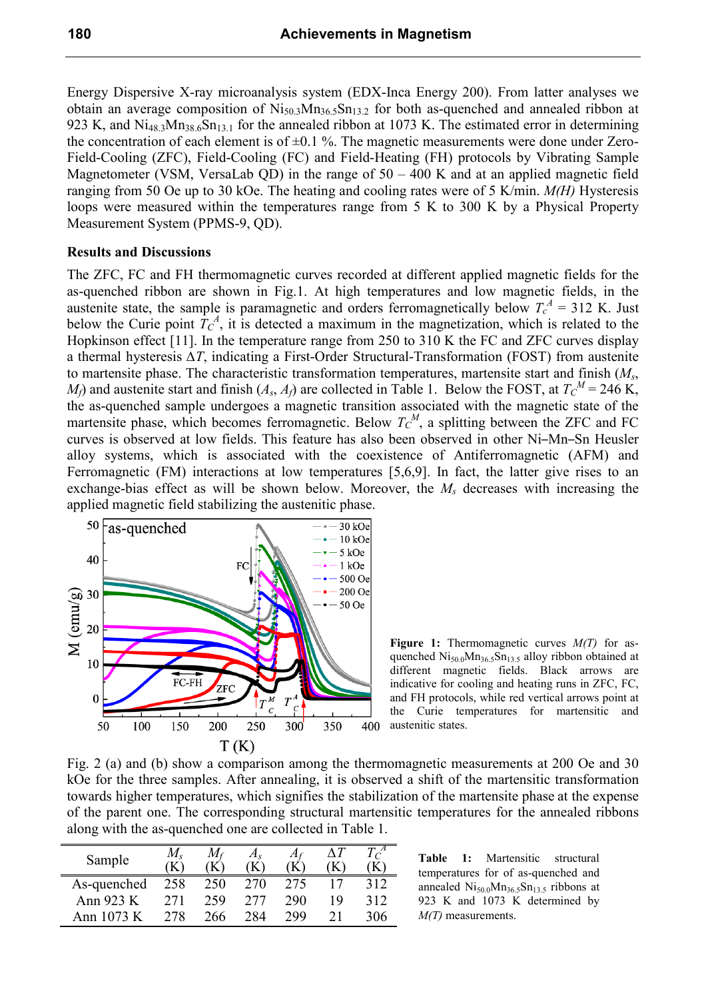Energy Dispersive X-ray microanalysis system (EDX-Inca Energy 200). From latter analyses we obtain an average composition of  $Ni_{50.3}Mn_{36.5}Sn_{13.2}$  for both as-quenched and annealed ribbon at 923 K, and Ni<sub>48.3</sub>Mn<sub>38.6</sub>Sn<sub>13.1</sub> for the annealed ribbon at 1073 K. The estimated error in determining the concentration of each element is of  $\pm 0.1$  %. The magnetic measurements were done under Zero-Field-Cooling (ZFC), Field-Cooling (FC) and Field-Heating (FH) protocols by Vibrating Sample Magnetometer (VSM, VersaLab QD) in the range of  $50 - 400$  K and at an applied magnetic field ranging from 50 Oe up to 30 kOe. The heating and cooling rates were of 5 K/min. *M(H)* Hysteresis loops were measured within the temperatures range from 5 K to 300 K by a Physical Property Measurement System (PPMS-9, QD).

#### **Results and Discussions**

The ZFC, FC and FH thermomagnetic curves recorded at different applied magnetic fields for the as-quenched ribbon are shown in Fig.1. At high temperatures and low magnetic fields, in the austenite state, the sample is paramagnetic and orders ferromagnetically below  $T_c^A = 312$  K. Just below the Curie point  $T_c^A$ , it is detected a maximum in the magnetization, which is related to the Hopkinson effect [11]. In the temperature range from 250 to 310 K the FC and ZFC curves display a thermal hysteresis *∆T*, indicating a First-Order Structural-Transformation (FOST) from austenite to martensite phase. The characteristic transformation temperatures, martensite start and finish (*Ms*, *M*<sup>*f*</sup>) and austenite start and finish  $(A_s, A_f)$  are collected in Table 1. Below the FOST, at  $T_c^M = 246$  K, the as-quenched sample undergoes a magnetic transition associated with the magnetic state of the martensite phase, which becomes ferromagnetic. Below  $T_c^M$ , a splitting between the ZFC and FC curves is observed at low fields. This feature has also been observed in other Ni–Mn–Sn Heusler alloy systems, which is associated with the coexistence of Antiferromagnetic (AFM) and Ferromagnetic (FM) interactions at low temperatures [5,6,9]. In fact, the latter give rises to an exchange-bias effect as will be shown below. Moreover, the *Ms* decreases with increasing the applied magnetic field stabilizing the austenitic phase.



**Figure 1:** Thermomagnetic curves *M(T)* for asquenched  $Ni<sub>50.0</sub>Mn<sub>36.5</sub>Sn<sub>13.5</sub>$  alloy ribbon obtained at different magnetic fields. Black arrows are indicative for cooling and heating runs in ZFC, FC, and FH protocols, while red vertical arrows point at the Curie temperatures for martensitic and austenitic states.

Fig. 2 (a) and (b) show a comparison among the thermomagnetic measurements at 200 Oe and 30 kOe for the three samples. After annealing, it is observed a shift of the martensitic transformation towards higher temperatures, which signifies the stabilization of the martensite phase at the expense of the parent one. The corresponding structural martensitic temperatures for the annealed ribbons along with the as-quenched one are collected in Table 1.

| Sample        | ĸ   |     | $A_{S}$<br>K | Af  | $\Delta T$ | $\Gamma$<br>ĸ |
|---------------|-----|-----|--------------|-----|------------|---------------|
| As-quenched   | 258 | 250 | 270          | 275 |            | 312           |
| Ann 923 K     | 271 | 259 | 277          | 290 | 19         | 312           |
| Ann 1073<br>K | 278 | 266 | 284          | 299 |            | 306           |

**Table 1:** Martensitic structural temperatures for of as-quenched and annealed  $Ni<sub>50.0</sub>Mn<sub>36.5</sub>Sn<sub>13.5</sub>$  ribbons at 923 K and 1073 K determined by *M(T)* measurements.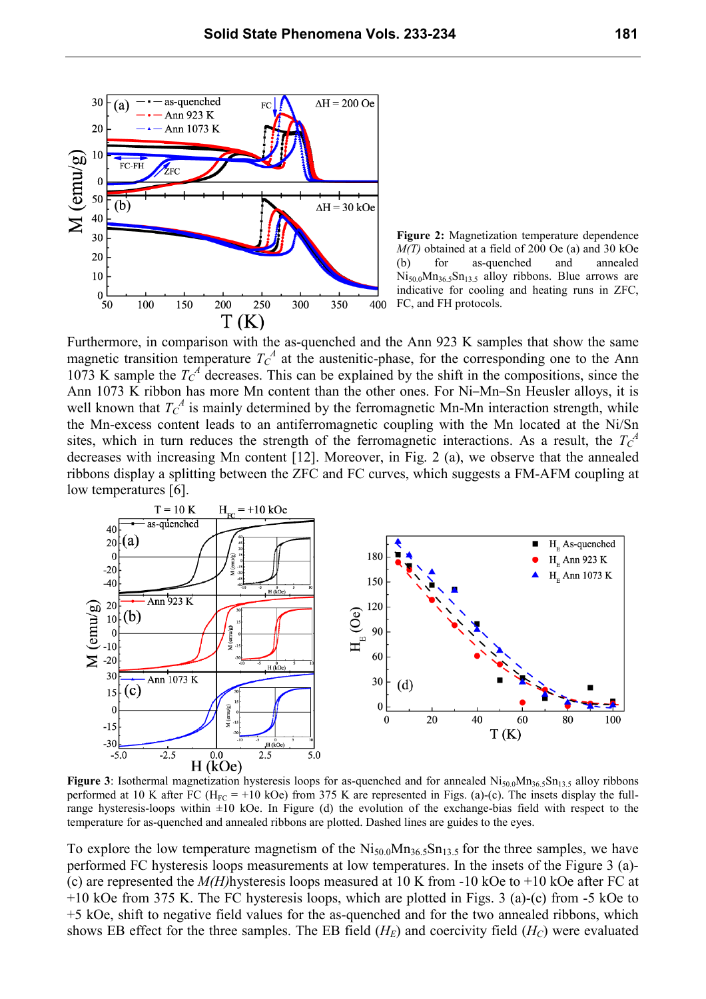

**Figure 2:** Magnetization temperature dependence *M(T)* obtained at a field of 200 Oe (a) and 30 kOe (b) for as-quenched and annealed  $Ni_{50.0}Mn_{36.5}Sn_{13.5}$  alloy ribbons. Blue arrows are indicative for cooling and heating runs in ZFC, FC, and FH protocols.

Furthermore, in comparison with the as-quenched and the Ann 923 K samples that show the same magnetic transition temperature  $T_c^A$  at the austenitic-phase, for the corresponding one to the Ann 1073 K sample the  $T_c^A$  decreases. This can be explained by the shift in the compositions, since the Ann 1073 K ribbon has more Mn content than the other ones. For Ni–Mn–Sn Heusler alloys, it is well known that  $T_C^A$  is mainly determined by the ferromagnetic Mn-Mn interaction strength, while the Mn-excess content leads to an antiferromagnetic coupling with the Mn located at the Ni/Sn sites, which in turn reduces the strength of the ferromagnetic interactions. As a result, the  $T_c^A$ decreases with increasing Mn content [12]. Moreover, in Fig. 2 (a), we observe that the annealed ribbons display a splitting between the ZFC and FC curves, which suggests a FM-AFM coupling at low temperatures [6].



**Figure 3**: Isothermal magnetization hysteresis loops for as-quenched and for annealed  $Ni<sub>50.0</sub>Mn<sub>36.5</sub>Sn<sub>13.5</sub>$  alloy ribbons performed at 10 K after FC ( $H_{FC}$  = +10 kOe) from 375 K are represented in Figs. (a)-(c). The insets display the fullrange hysteresis-loops within  $\pm 10$  kOe. In Figure (d) the evolution of the exchange-bias field with respect to the temperature for as-quenched and annealed ribbons are plotted. Dashed lines are guides to the eyes.

To explore the low temperature magnetism of the  $N_{150,0}M_{136,5}Sn_{13,5}$  for the three samples, we have performed FC hysteresis loops measurements at low temperatures. In the insets of the Figure 3 (a)- (c) are represented the  $M(H)$ hysteresis loops measured at 10 K from -10 kOe to +10 kOe after FC at +10 kOe from 375 K. The FC hysteresis loops, which are plotted in Figs. 3 (a)-(c) from -5 kOe to +5 kOe, shift to negative field values for the as-quenched and for the two annealed ribbons, which shows EB effect for the three samples. The EB field  $(H_F)$  and coercivity field  $(H_C)$  were evaluated